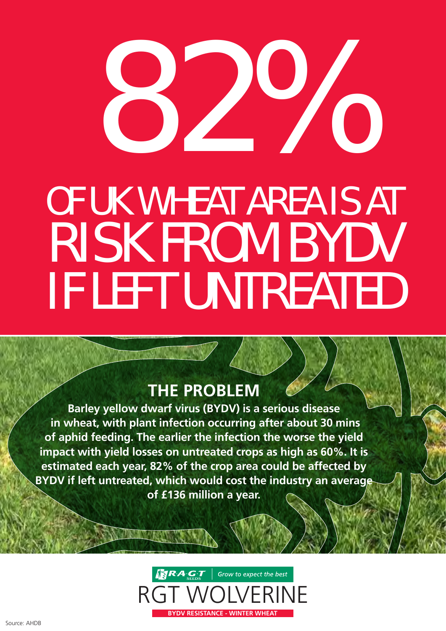# OF UK WHEAT AREA IS AT RISK FROM BYDV IF LEFT UNTREATED 22%

## **THE PROBLEM**

**Barley yellow dwarf virus (BYDV) is a serious disease in wheat, with plant infection occurring after about 30 mins of aphid feeding. The earlier the infection the worse the yield impact with yield losses on untreated crops as high as 60%. It is estimated each year, 82% of the crop area could be affected by BYDV if left untreated, which would cost the industry an average of £136 million a year.**

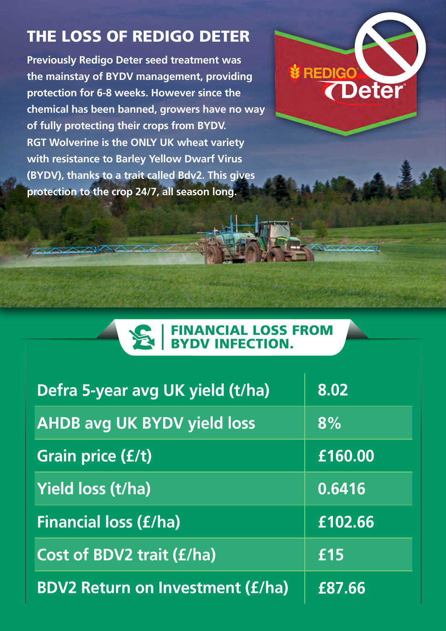# THE LOSS OF REDIGO DETER

**Previously Redigo Deter seed treatment was the mainstay of BYDV management, providing protection for 6-8 weeks. However since the chemical has been banned, growers have no way of fully protecting their crops from BYDV. RGT Wolverine is the ONLY UK wheat variety with resistance to Barley Yellow Dwarf Virus (BYDV), thanks to a trait called Bdv2. This gives protection to the crop 24/7, all season long.** 



#### FINANCIAL LOSS FROM BYDV INFECTION.

| Defra 5-year avg UK yield (t/ha)        | 8.02    |
|-----------------------------------------|---------|
| <b>AHDB avg UK BYDV yield loss</b>      | 8%      |
| Grain price (£/t)                       | £160.00 |
| <b>Yield loss (t/ha)</b>                | 0.6416  |
| <b>Financial loss (£/ha)</b>            | £102.66 |
| <b>Cost of BDV2 trait (£/ha)</b>        | £15     |
| <b>BDV2 Return on Investment (£/ha)</b> | £87.66  |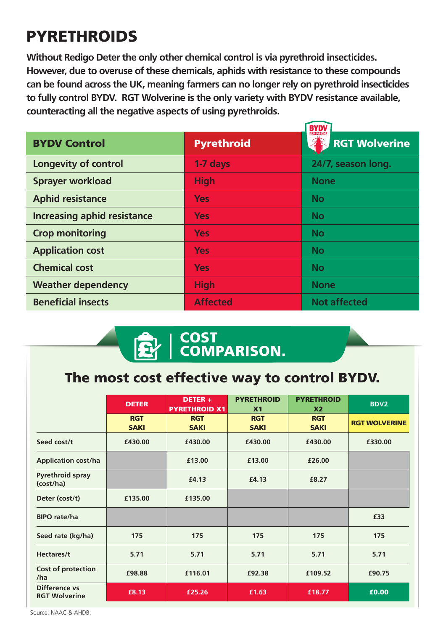# **PYRETHROIDS**

**Without Redigo Deter the only other chemical control is via pyrethroid insecticides. However, due to overuse of these chemicals, aphids with resistance to these compounds can be found across the UK, meaning farmers can no longer rely on pyrethroid insecticides to fully control BYDV. RGT Wolverine is the only variety with BYDV resistance available, counteracting all the negative aspects of using pyrethroids.** 

|                                    | <b>BYDV</b><br><b>RESISTANCE</b> |                      |  |
|------------------------------------|----------------------------------|----------------------|--|
| <b>BYDV Control</b>                | <b>Pyrethroid</b>                | <b>RGT Wolverine</b> |  |
| <b>Longevity of control</b>        | 1-7 days                         | 24/7, season long.   |  |
| <b>Sprayer workload</b>            | <b>High</b>                      | <b>None</b>          |  |
| <b>Aphid resistance</b>            | <b>Yes</b>                       | <b>No</b>            |  |
| <b>Increasing aphid resistance</b> | <b>Yes</b>                       | <b>No</b>            |  |
| <b>Crop monitoring</b>             | <b>Yes</b>                       | <b>No</b>            |  |
| <b>Application cost</b>            | <b>Yes</b>                       | <b>No</b>            |  |
| <b>Chemical cost</b>               | <b>Yes</b>                       | <b>No</b>            |  |
| <b>Weather dependency</b>          | <b>High</b>                      | <b>None</b>          |  |
| <b>Beneficial insects</b>          | <b>Affected</b>                  | <b>Not affected</b>  |  |

#### COST COMPARISON.

### The most cost effective way to control BYDV.

|                                       | <b>DETER</b>              | DETER+<br><b>PYRETHROID X1</b> | <b>PYRETHROID</b><br>X <sub>1</sub> | <b>PYRETHROID</b><br>X <sub>2</sub> | <b>BDV2</b>          |
|---------------------------------------|---------------------------|--------------------------------|-------------------------------------|-------------------------------------|----------------------|
|                                       | <b>RGT</b><br><b>SAKI</b> | <b>RGT</b><br><b>SAKI</b>      | <b>RGT</b><br><b>SAKI</b>           | <b>RGT</b><br><b>SAKI</b>           | <b>RGT WOLVERINE</b> |
| Seed cost/t                           | £430.00                   | £430.00                        | £430.00                             | £430.00                             | £330.00              |
| <b>Application cost/ha</b>            |                           | £13.00                         | £13.00                              | £26.00                              |                      |
| <b>Pyrethroid spray</b><br>(cost/ha)  |                           | £4.13                          | £4.13                               | £8.27                               |                      |
| Deter (cost/t)                        | £135.00                   | £135.00                        |                                     |                                     |                      |
| <b>BIPO</b> rate/ha                   |                           |                                |                                     |                                     | £33                  |
| Seed rate (kg/ha)                     | 175                       | 175                            | 175                                 | 175                                 | 175                  |
| Hectares/t                            | 5.71                      | 5.71                           | 5.71                                | 5.71                                | 5.71                 |
| <b>Cost of protection</b><br>/ha      | £98.88                    | £116.01                        | £92.38                              | £109.52                             | £90.75               |
| Difference vs<br><b>RGT Wolverine</b> | £8.13                     | £25.26                         | £1.63                               | £18.77                              | £0.00                |